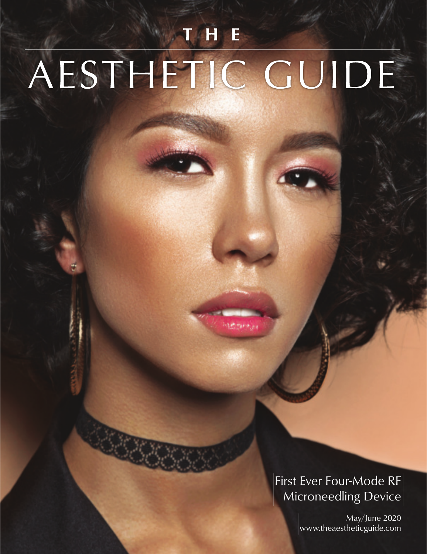# T HE AESTHETIC GUIDE

热力的 化

## First Ever Four-Mode RF Microneedling Device

May/June 2020 www.theaestheticguide.com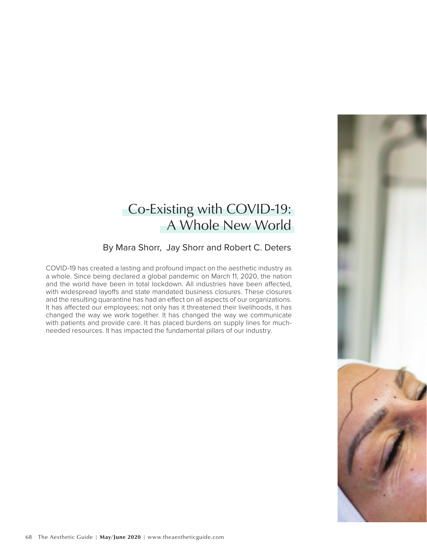### Co-Existing with COVID-19: A Whole New World

#### By Mara Shorr, Jay Shorr and Robert C. Deters

COVID-19 has created a lasting and profound impact on the aesthetic industry as a whole. Since being declared a global pandemic on March 11, 2020, the nation and the world have been in total lockdown. All industries have been affected, with widespread layoffs and state mandated business closures. These closures and the resulting quarantine has had an effect on all aspects of our organizations. It has affected our employees; not only has it threatened their livelihoods, it has changed the way we work together. It has changed the way we communicate with patients and provide care. It has placed burdens on supply lines for muchneeded resources. It has impacted the fundamental pillars of our industry.

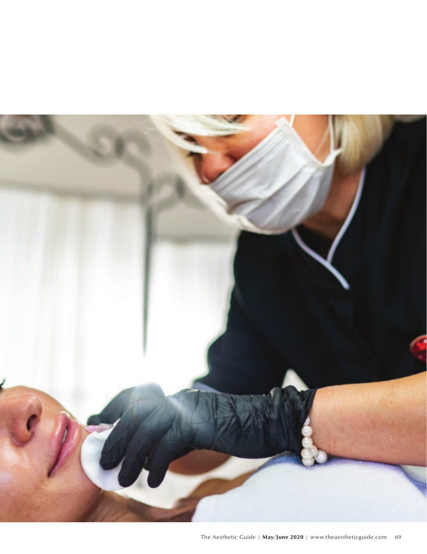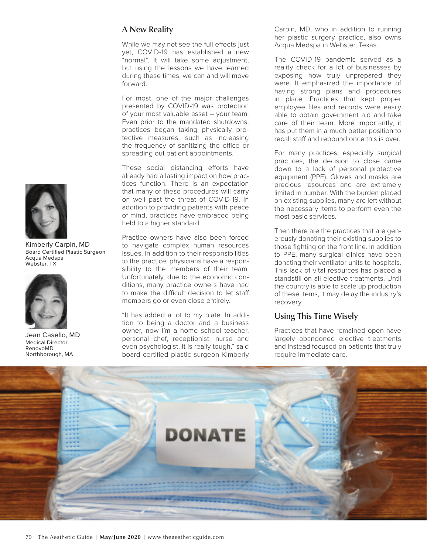#### A New Reality

While we may not see the full effects just yet, COVID-19 has established a new "normal". It will take some adjustment, but using the lessons we have learned during these times, we can and will move forward.

For most, one of the major challenges presented by COVID-19 was protection of your most valuable asset – your team. Even prior to the mandated shutdowns, practices began taking physically protective measures, such as increasing the frequency of sanitizing the office or spreading out patient appointments.

These social distancing efforts have already had a lasting impact on how practices function. There is an expectation that many of these procedures will carry on well past the threat of COVID-19. In addition to providing patients with peace of mind, practices have embraced being held to a higher standard.

Practice owners have also been forced to navigate complex human resources issues. In addition to their responsibilities to the practice, physicians have a responsibility to the members of their team. Unfortunately, due to the economic conditions, many practice owners have had to make the difficult decision to let staff members go or even close entirely.

"It has added a lot to my plate. In addition to being a doctor and a business owner, now I'm a home school teacher, personal chef, receptionist, nurse and even psychologist. It is really tough," said board certified plastic surgeon Kimberly

Carpin, MD, who in addition to running her plastic surgery practice, also owns Acqua Medspa in Webster, Texas.

The COVID-19 pandemic served as a reality check for a lot of businesses by exposing how truly unprepared they were. It emphasized the importance of having strong plans and procedures in place. Practices that kept proper employee files and records were easily able to obtain government aid and take care of their team. More importantly, it has put them in a much better position to recall staff and rebound once this is over.

For many practices, especially surgical practices, the decision to close came down to a lack of personal protective equipment (PPE). Gloves and masks are precious resources and are extremely limited in number. With the burden placed on existing supplies, many are left without the necessary items to perform even the most basic services.

Then there are the practices that are generously donating their existing supplies to those fighting on the front line. In addition to PPE, many surgical clinics have been donating their ventilator units to hospitals. This lack of vital resources has placed a standstill on all elective treatments. Until the country is able to scale up production of these items, it may delay the industry's recovery.

#### Using This Time Wisely

Practices that have remained open have largely abandoned elective treatments and instead focused on patients that truly require immediate care.





Kimberly Carpin, MD Board Certified Plastic Surgeon Acqua Medspa Webster, TX



Jean Casello, MD Medical Director RenovoMD Northborough, MA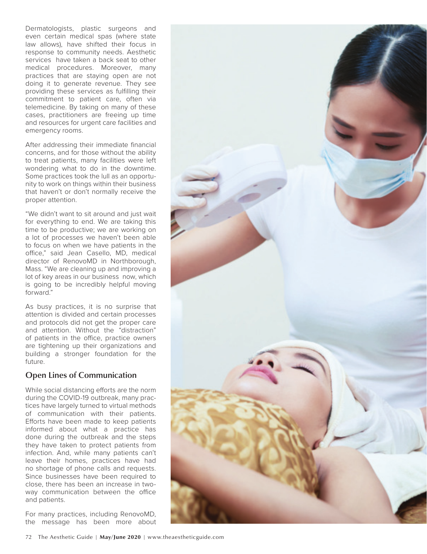Dermatologists, plastic surgeons and even certain medical spas (where state law allows), have shifted their focus in response to community needs. Aesthetic services have taken a back seat to other medical procedures. Moreover, many practices that are staying open are not doing it to generate revenue. They see providing these services as fulfilling their commitment to patient care, often via telemedicine. By taking on many of these cases, practitioners are freeing up time and resources for urgent care facilities and emergency rooms.

After addressing their immediate financial concerns, and for those without the ability to treat patients, many facilities were left wondering what to do in the downtime. Some practices took the lull as an opportunity to work on things within their business that haven't or don't normally receive the proper attention.

"We didn't want to sit around and just wait for everything to end. We are taking this time to be productive; we are working on a lot of processes we haven't been able to focus on when we have patients in the office," said Jean Casello, MD, medical director of RenovoMD in Northborough, Mass. "We are cleaning up and improving a lot of key areas in our business now, which is going to be incredibly helpful moving forward."

As busy practices, it is no surprise that attention is divided and certain processes and protocols did not get the proper care and attention. Without the "distraction" of patients in the office, practice owners are tightening up their organizations and building a stronger foundation for the future.

#### Open Lines of Communication

While social distancing efforts are the norm during the COVID-19 outbreak, many practices have largely turned to virtual methods of communication with their patients. Efforts have been made to keep patients informed about what a practice has done during the outbreak and the steps they have taken to protect patients from infection. And, while many patients can't leave their homes, practices have had no shortage of phone calls and requests. Since businesses have been required to close, there has been an increase in twoway communication between the office and patients.

For many practices, including RenovoMD, the message has been more about

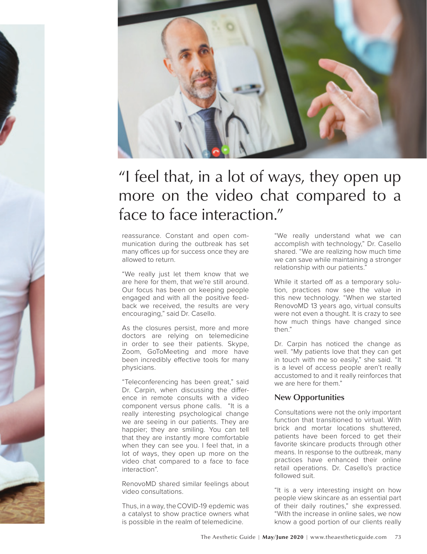

## "I feel that, in a lot of ways, they open up more on the video chat compared to a face to face interaction."

reassurance. Constant and open communication during the outbreak has set many offices up for success once they are allowed to return.

"We really just let them know that we are here for them, that we're still around. Our focus has been on keeping people engaged and with all the positive feedback we received, the results are very encouraging," said Dr. Casello.

As the closures persist, more and more doctors are relying on telemedicine in order to see their patients. Skype, Zoom, GoToMeeting and more have been incredibly effective tools for many physicians.

"Teleconferencing has been great," said Dr. Carpin, when discussing the difference in remote consults with a video component versus phone calls. "It is a really interesting psychological change we are seeing in our patients. They are happier; they are smiling. You can tell that they are instantly more comfortable when they can see you. I feel that, in a lot of ways, they open up more on the video chat compared to a face to face interaction".

RenovoMD shared similar feelings about video consultations.

Thus, in a way, the COVID-19 epdemic was a catalyst to show practice owners what is possible in the realm of telemedicine.

"We really understand what we can accomplish with technology," Dr. Casello shared. "We are realizing how much time we can save while maintaining a stronger relationship with our patients."

While it started off as a temporary solution, practices now see the value in this new technology. "When we started RenovoMD 13 years ago, virtual consults were not even a thought. It is crazy to see how much things have changed since then."

Dr. Carpin has noticed the change as well. "My patients love that they can get in touch with me so easily," she said. "It is a level of access people aren't really accustomed to and it really reinforces that we are here for them."

#### New Opportunities

Consultations were not the only important function that transitioned to virtual. With brick and mortar locations shuttered, patients have been forced to get their favorite skincare products through other means. In response to the outbreak, many practices have enhanced their online retail operations. Dr. Casello's practice followed suit.

"It is a very interesting insight on how people view skincare as an essential part of their daily routines," she expressed. "With the increase in online sales, we now know a good portion of our clients really